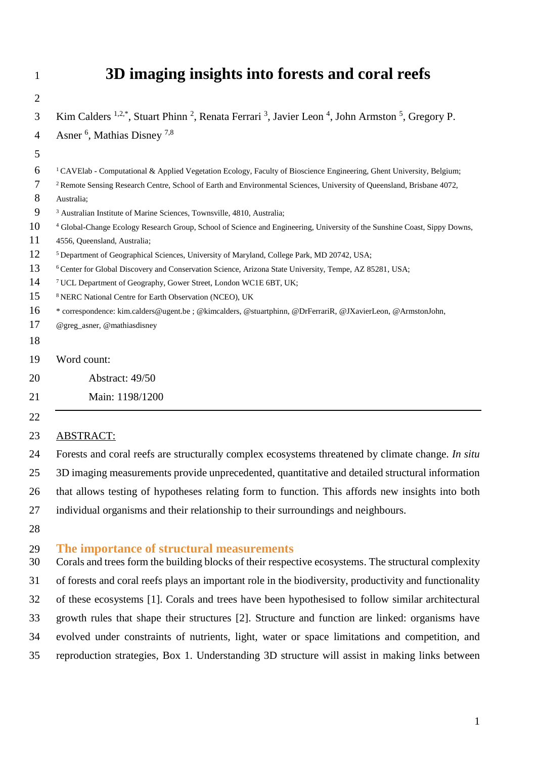# **3D imaging insights into forests and coral reefs**

| $\overline{2}$ |                                                                                                                                                      |
|----------------|------------------------------------------------------------------------------------------------------------------------------------------------------|
| 3              | Kim Calders $^{1,2,*}$ , Stuart Phinn <sup>2</sup> , Renata Ferrari <sup>3</sup> , Javier Leon <sup>4</sup> , John Armston <sup>5</sup> , Gregory P. |
| 4              | Asner <sup>6</sup> , Mathias Disney <sup>7,8</sup>                                                                                                   |
| 5              |                                                                                                                                                      |
| 6              | <sup>1</sup> CAVElab - Computational & Applied Vegetation Ecology, Faculty of Bioscience Engineering, Ghent University, Belgium;                     |
| 7              | <sup>2</sup> Remote Sensing Research Centre, School of Earth and Environmental Sciences, University of Queensland, Brisbane 4072,                    |
| 8              | Australia;                                                                                                                                           |
| 9              | <sup>3</sup> Australian Institute of Marine Sciences, Townsville, 4810, Australia;                                                                   |
| 10             | <sup>4</sup> Global-Change Ecology Research Group, School of Science and Engineering, University of the Sunshine Coast, Sippy Downs,                 |
| 11             | 4556, Queensland, Australia;                                                                                                                         |
| 12             | <sup>5</sup> Department of Geographical Sciences, University of Maryland, College Park, MD 20742, USA;                                               |
| 13             | <sup>6</sup> Center for Global Discovery and Conservation Science, Arizona State University, Tempe, AZ 85281, USA;                                   |
| 14             | <sup>7</sup> UCL Department of Geography, Gower Street, London WC1E 6BT, UK;                                                                         |
| 15             | <sup>8</sup> NERC National Centre for Earth Observation (NCEO), UK                                                                                   |
| 16             | * correspondence: kim.calders@ugent.be; @kimcalders, @stuartphinn, @DrFerrariR, @JXavierLeon, @ArmstonJohn,                                          |
| 17             | @greg_asner, @mathiasdisney                                                                                                                          |
| 18             |                                                                                                                                                      |
| 19             | Word count:                                                                                                                                          |
| 20             | Abstract: 49/50                                                                                                                                      |
| 21             | Main: 1198/1200                                                                                                                                      |
| 22             |                                                                                                                                                      |
| 23             | <b>ABSTRACT:</b>                                                                                                                                     |
| 24             | Forests and coral reefs are structurally complex ecosystems threatened by climate change. In situ                                                    |
| 25             | 3D imaging measurements provide unprecedented, quantitative and detailed structural information                                                      |
| 26             | that allows testing of hypotheses relating form to function. This affords new insights into both                                                     |
| 27             | individual organisms and their relationship to their surroundings and neighbours.                                                                    |
| 28             |                                                                                                                                                      |
| 29<br>30       | The importance of structural measurements<br>Corals and trees form the building blocks of their respective ecosystems. The structural complexity     |

 of forests and coral reefs plays an important role in the biodiversity, productivity and functionality of these ecosystems [1]. Corals and trees have been hypothesised to follow similar architectural growth rules that shape their structures [2]. Structure and function are linked: organisms have evolved under constraints of nutrients, light, water or space limitations and competition, and reproduction strategies, Box 1. Understanding 3D structure will assist in making links between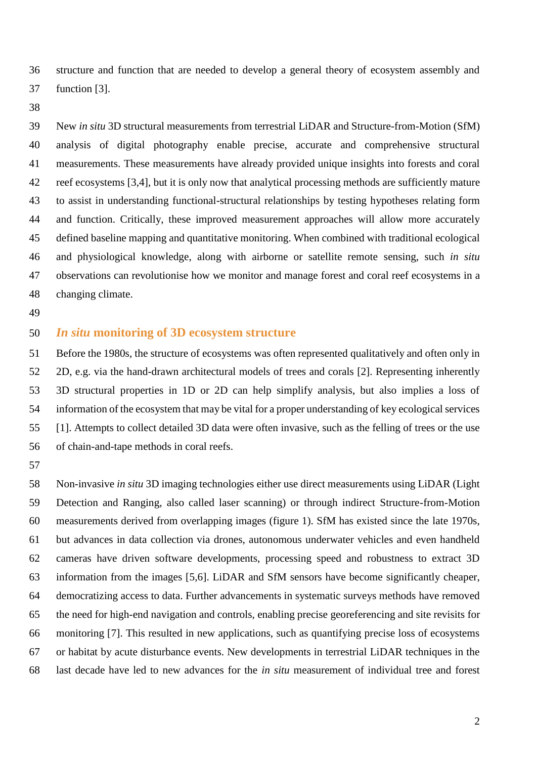structure and function that are needed to develop a general theory of ecosystem assembly and function [3].

 New *in situ* 3D structural measurements from terrestrial LiDAR and Structure-from-Motion (SfM) analysis of digital photography enable precise, accurate and comprehensive structural measurements. These measurements have already provided unique insights into forests and coral reef ecosystems [3,4], but it is only now that analytical processing methods are sufficiently mature to assist in understanding functional-structural relationships by testing hypotheses relating form and function. Critically, these improved measurement approaches will allow more accurately defined baseline mapping and quantitative monitoring. When combined with traditional ecological and physiological knowledge, along with airborne or satellite remote sensing, such *in situ* observations can revolutionise how we monitor and manage forest and coral reef ecosystems in a changing climate.

### *In situ* **monitoring of 3D ecosystem structure**

 Before the 1980s, the structure of ecosystems was often represented qualitatively and often only in 2D, e.g. via the hand-drawn architectural models of trees and corals [2]. Representing inherently 3D structural properties in 1D or 2D can help simplify analysis, but also implies a loss of information of the ecosystem that may be vital for a proper understanding of key ecological services [1]. Attempts to collect detailed 3D data were often invasive, such as the felling of trees or the use of chain-and-tape methods in coral reefs.

 Non-invasive *in situ* 3D imaging technologies either use direct measurements using LiDAR (Light Detection and Ranging, also called laser scanning) or through indirect Structure-from-Motion measurements derived from overlapping images (figure 1). SfM has existed since the late 1970s, but advances in data collection via drones, autonomous underwater vehicles and even handheld cameras have driven software developments, processing speed and robustness to extract 3D information from the images [5,6]. LiDAR and SfM sensors have become significantly cheaper, democratizing access to data. Further advancements in systematic surveys methods have removed the need for high-end navigation and controls, enabling precise georeferencing and site revisits for monitoring [7]. This resulted in new applications, such as quantifying precise loss of ecosystems or habitat by acute disturbance events. New developments in terrestrial LiDAR techniques in the last decade have led to new advances for the *in situ* measurement of individual tree and forest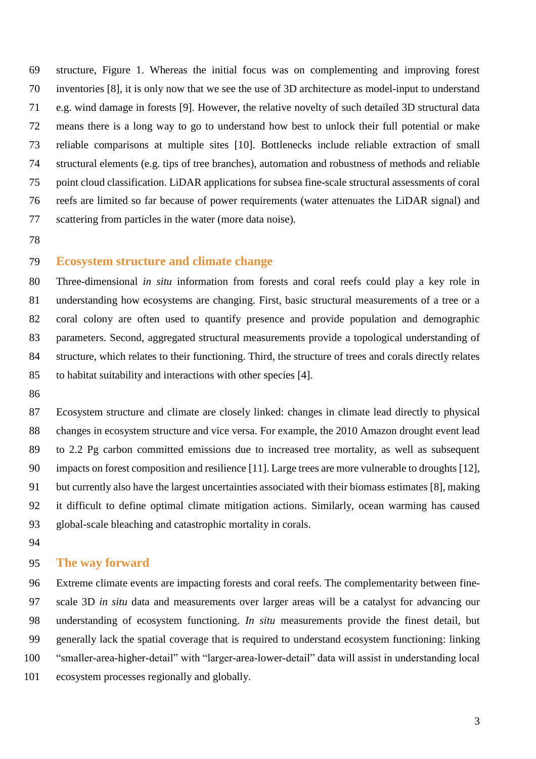structure, Figure 1. Whereas the initial focus was on complementing and improving forest inventories [8], it is only now that we see the use of 3D architecture as model-input to understand e.g. wind damage in forests [9]. However, the relative novelty of such detailed 3D structural data means there is a long way to go to understand how best to unlock their full potential or make reliable comparisons at multiple sites [10]. Bottlenecks include reliable extraction of small structural elements (e.g. tips of tree branches), automation and robustness of methods and reliable point cloud classification. LiDAR applications for subsea fine-scale structural assessments of coral reefs are limited so far because of power requirements (water attenuates the LiDAR signal) and scattering from particles in the water (more data noise).

### **Ecosystem structure and climate change**

 Three-dimensional *in situ* information from forests and coral reefs could play a key role in understanding how ecosystems are changing. First, basic structural measurements of a tree or a coral colony are often used to quantify presence and provide population and demographic parameters. Second, aggregated structural measurements provide a topological understanding of structure, which relates to their functioning. Third, the structure of trees and corals directly relates to habitat suitability and interactions with other species [4].

 Ecosystem structure and climate are closely linked: changes in climate lead directly to physical changes in ecosystem structure and vice versa. For example, the 2010 Amazon drought event lead to 2.2 Pg carbon committed emissions due to increased tree mortality, as well as subsequent impacts on forest composition and resilience [11]. Large trees are more vulnerable to droughts [12], but currently also have the largest uncertainties associated with their biomass estimates [8], making it difficult to define optimal climate mitigation actions. Similarly, ocean warming has caused global-scale bleaching and catastrophic mortality in corals.

#### **The way forward**

 Extreme climate events are impacting forests and coral reefs. The complementarity between fine- scale 3D *in situ* data and measurements over larger areas will be a catalyst for advancing our understanding of ecosystem functioning. *In situ* measurements provide the finest detail, but generally lack the spatial coverage that is required to understand ecosystem functioning: linking "smaller-area-higher-detail" with "larger-area-lower-detail" data will assist in understanding local ecosystem processes regionally and globally.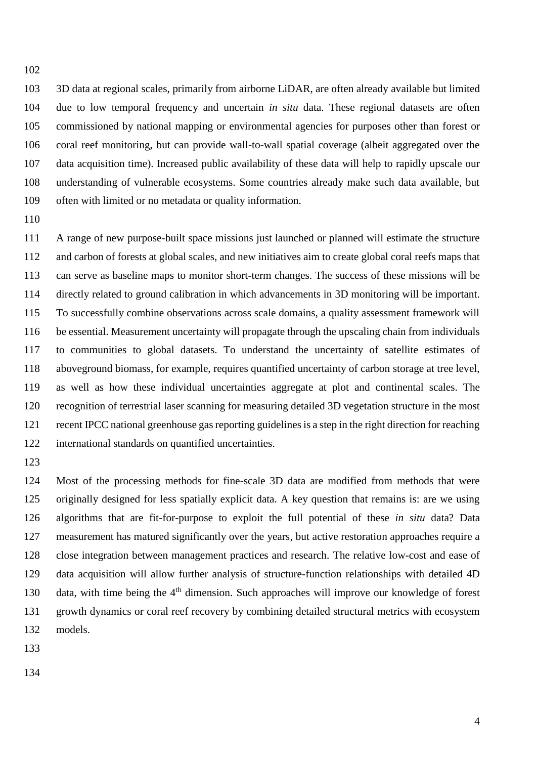3D data at regional scales, primarily from airborne LiDAR, are often already available but limited due to low temporal frequency and uncertain *in situ* data. These regional datasets are often commissioned by national mapping or environmental agencies for purposes other than forest or coral reef monitoring, but can provide wall-to-wall spatial coverage (albeit aggregated over the data acquisition time). Increased public availability of these data will help to rapidly upscale our understanding of vulnerable ecosystems. Some countries already make such data available, but often with limited or no metadata or quality information.

 A range of new purpose-built space missions just launched or planned will estimate the structure and carbon of forests at global scales, and new initiatives aim to create global coral reefs maps that can serve as baseline maps to monitor short-term changes. The success of these missions will be directly related to ground calibration in which advancements in 3D monitoring will be important. To successfully combine observations across scale domains, a quality assessment framework will be essential. Measurement uncertainty will propagate through the upscaling chain from individuals to communities to global datasets. To understand the uncertainty of satellite estimates of aboveground biomass, for example, requires quantified uncertainty of carbon storage at tree level, as well as how these individual uncertainties aggregate at plot and continental scales. The recognition of terrestrial laser scanning for measuring detailed 3D vegetation structure in the most recent IPCC national greenhouse gas reporting guidelines is a step in the right direction for reaching international standards on quantified uncertainties.

 Most of the processing methods for fine-scale 3D data are modified from methods that were originally designed for less spatially explicit data. A key question that remains is: are we using algorithms that are fit-for-purpose to exploit the full potential of these *in situ* data? Data measurement has matured significantly over the years, but active restoration approaches require a close integration between management practices and research. The relative low-cost and ease of data acquisition will allow further analysis of structure-function relationships with detailed 4D 130 data, with time being the  $4<sup>th</sup>$  dimension. Such approaches will improve our knowledge of forest growth dynamics or coral reef recovery by combining detailed structural metrics with ecosystem models.

- 
-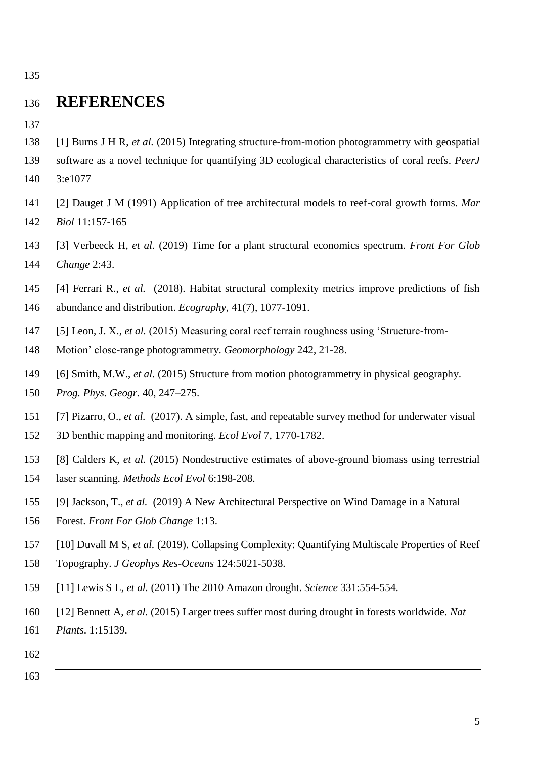# **REFERENCES**

- [1] Burns J H R, *et al.* (2015) Integrating structure-from-motion photogrammetry with geospatial
- software as a novel technique for quantifying 3D ecological characteristics of coral reefs. *PeerJ*
- 3:e1077
- [2] Dauget J M (1991) Application of tree architectural models to reef-coral growth forms. *Mar Biol* 11:157-165
- [3] Verbeeck H, *et al.* (2019) Time for a plant structural economics spectrum. *Front For Glob Change* 2:43.
- [4] Ferrari R., *et al.* (2018). Habitat structural complexity metrics improve predictions of fish
- abundance and distribution. *Ecography*, 41(7), 1077-1091.
- [5] Leon, J. X., *et al.* (2015) Measuring coral reef terrain roughness using 'Structure-from-
- Motion' close-range photogrammetry. *Geomorphology* 242, 21-28.
- [6] Smith, M.W., *et al.* (2015) Structure from motion photogrammetry in physical geography.
- *Prog. Phys. Geogr.* 40, 247–275.
- [7] Pizarro, O., *et al.* (2017). A simple, fast, and repeatable survey method for underwater visual
- 3D benthic mapping and monitoring. *Ecol Evol* 7, 1770-1782.
- [8] Calders K, *et al.* (2015) Nondestructive estimates of above-ground biomass using terrestrial
- laser scanning. *Methods Ecol Evol* 6:198-208.
- [9] Jackson, T., *et al.* (2019) A New Architectural Perspective on Wind Damage in a Natural
- Forest. *Front For Glob Change* 1:13.
- [10] Duvall M S, *et al.* (2019). Collapsing Complexity: Quantifying Multiscale Properties of Reef
- Topography. *J Geophys Res-Oceans* 124:5021-5038.
- [11] Lewis S L, *et al.* (2011) The 2010 Amazon drought. *Science* 331:554-554.
- [12] Bennett A, *et al.* (2015) Larger trees suffer most during drought in forests worldwide. *Nat*
- *Plants*. 1:15139.
- 
-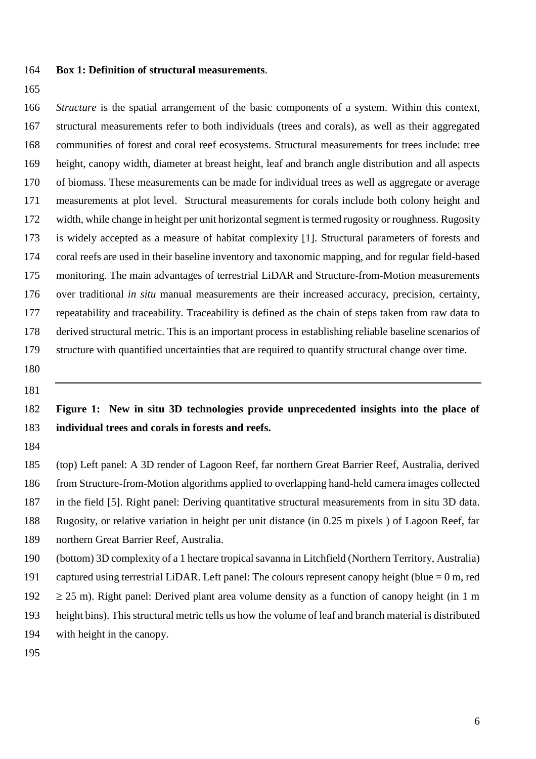- **Box 1: Definition of structural measurements**.
- 

 *Structure* is the spatial arrangement of the basic components of a system. Within this context, structural measurements refer to both individuals (trees and corals), as well as their aggregated communities of forest and coral reef ecosystems. Structural measurements for trees include: tree height, canopy width, diameter at breast height, leaf and branch angle distribution and all aspects of biomass. These measurements can be made for individual trees as well as aggregate or average measurements at plot level. Structural measurements for corals include both colony height and width, while change in height per unit horizontal segment is termed rugosity or roughness. Rugosity is widely accepted as a measure of habitat complexity [1]. Structural parameters of forests and coral reefs are used in their baseline inventory and taxonomic mapping, and for regular field-based monitoring. The main advantages of terrestrial LiDAR and Structure-from-Motion measurements over traditional *in situ* manual measurements are their increased accuracy, precision, certainty, repeatability and traceability. Traceability is defined as the chain of steps taken from raw data to derived structural metric. This is an important process in establishing reliable baseline scenarios of structure with quantified uncertainties that are required to quantify structural change over time.

## **Figure 1: New in situ 3D technologies provide unprecedented insights into the place of individual trees and corals in forests and reefs.**

 (top) Left panel: A 3D render of Lagoon Reef, far northern Great Barrier Reef, Australia, derived from Structure-from-Motion algorithms applied to overlapping hand-held camera images collected in the field [5]. Right panel: Deriving quantitative structural measurements from in situ 3D data. Rugosity, or relative variation in height per unit distance (in 0.25 m pixels ) of Lagoon Reef, far northern Great Barrier Reef, Australia. (bottom) 3D complexity of a 1 hectare tropical savanna in Litchfield (Northern Territory, Australia)

 captured using terrestrial LiDAR. Left panel: The colours represent canopy height (blue = 0 m, red  $\geq$  25 m). Right panel: Derived plant area volume density as a function of canopy height (in 1 m height bins). This structural metric tells us how the volume of leaf and branch material is distributed with height in the canopy.